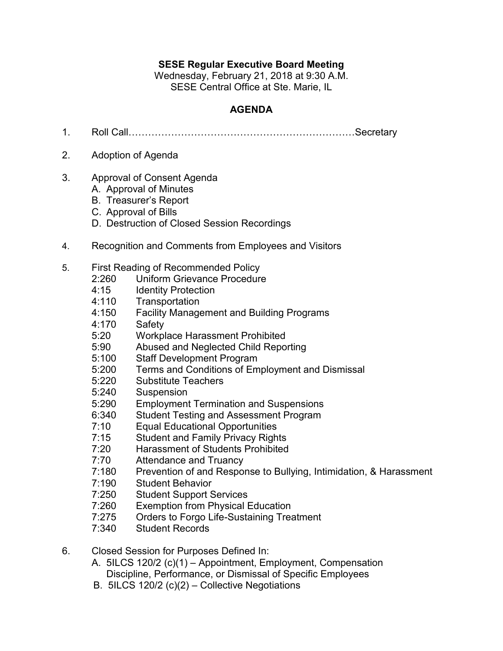## **SESE Regular Executive Board Meeting**

Wednesday, February 21, 2018 at 9:30 A.M. SESE Central Office at Ste. Marie, IL

## **AGENDA**

- 1. Roll Call……………………………………………………………Secretary
- 2. Adoption of Agenda
- 3. Approval of Consent Agenda
	- A. Approval of Minutes
	- B. Treasurer's Report
	- C. Approval of Bills
	- D. Destruction of Closed Session Recordings
- 4. Recognition and Comments from Employees and Visitors
- 5. First Reading of Recommended Policy
	- 2:260 Uniform Grievance Procedure
	- 4:15 Identity Protection
	- 4:110 Transportation
	- 4:150 Facility Management and Building Programs
	- 4:170 Safety
	- 5:20 Workplace Harassment Prohibited
	- 5:90 Abused and Neglected Child Reporting
	- 5:100 Staff Development Program
	- 5:200 Terms and Conditions of Employment and Dismissal
	- 5:220 Substitute Teachers
	- 5:240 Suspension
	- 5:290 Employment Termination and Suspensions
	- 6:340 Student Testing and Assessment Program
	- 7:10 Equal Educational Opportunities
	- 7:15 Student and Family Privacy Rights
	- 7:20 Harassment of Students Prohibited
	- 7:70 Attendance and Truancy
	- 7:180 Prevention of and Response to Bullying, Intimidation, & Harassment
	- 7:190 Student Behavior
	- 7:250 Student Support Services
	- 7:260 Exemption from Physical Education
	- 7:275 Orders to Forgo Life-Sustaining Treatment
	- 7:340 Student Records
- 6. Closed Session for Purposes Defined In:
	- A. 5ILCS 120/2 (c)(1) Appointment, Employment, Compensation Discipline, Performance, or Dismissal of Specific Employees
	- B. 5ILCS 120/2 (c)(2) Collective Negotiations